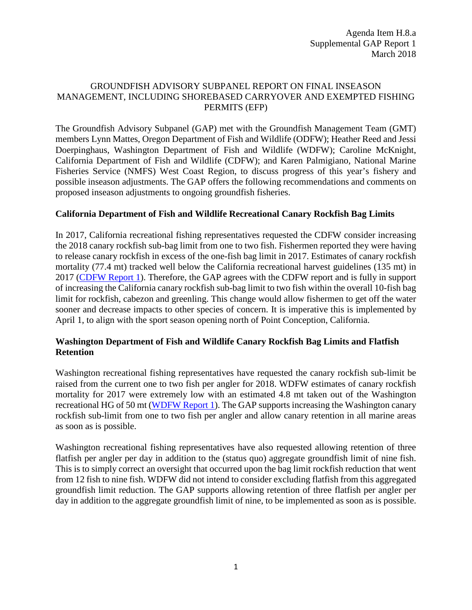#### GROUNDFISH ADVISORY SUBPANEL REPORT ON FINAL INSEASON MANAGEMENT, INCLUDING SHOREBASED CARRYOVER AND EXEMPTED FISHING PERMITS (EFP)

The Groundfish Advisory Subpanel (GAP) met with the Groundfish Management Team (GMT) members Lynn Mattes, Oregon Department of Fish and Wildlife (ODFW); Heather Reed and Jessi Doerpinghaus, Washington Department of Fish and Wildlife (WDFW); Caroline McKnight, California Department of Fish and Wildlife (CDFW); and Karen Palmigiano, National Marine Fisheries Service (NMFS) West Coast Region, to discuss progress of this year's fishery and possible inseason adjustments. The GAP offers the following recommendations and comments on proposed inseason adjustments to ongoing groundfish fisheries.

## **California Department of Fish and Wildlife Recreational Canary Rockfish Bag Limits**

In 2017, California recreational fishing representatives requested the CDFW consider increasing the 2018 canary rockfish sub-bag limit from one to two fish. Fishermen reported they were having to release canary rockfish in excess of the one-fish bag limit in 2017. Estimates of canary rockfish mortality (77.4 mt) tracked well below the California recreational harvest guidelines (135 mt) in 2017 [\(CDFW Report 1\)](https://www.pcouncil.org/wp-content/uploads/2018/02/H8a_CDFW_Rpt1_Inseason_MAR2018BB.pdf). Therefore, the GAP agrees with the CDFW report and is fully in support of increasing the California canary rockfish sub-bag limit to two fish within the overall 10-fish bag limit for rockfish, cabezon and greenling. This change would allow fishermen to get off the water sooner and decrease impacts to other species of concern. It is imperative this is implemented by April 1, to align with the sport season opening north of Point Conception, California.

## **Washington Department of Fish and Wildlife Canary Rockfish Bag Limits and Flatfish Retention**

Washington recreational fishing representatives have requested the canary rockfish sub-limit be raised from the current one to two fish per angler for 2018. WDFW estimates of canary rockfish mortality for 2017 were extremely low with an estimated 4.8 mt taken out of the Washington recreational HG of 50 mt [\(WDFW Report 1\)](https://www.pcouncil.org/wp-content/uploads/2018/02/H8a_WDFW_Rpt1_Inseason_MAR2018BB.pdf). The GAP supports increasing the Washington canary rockfish sub-limit from one to two fish per angler and allow canary retention in all marine areas as soon as is possible.

Washington recreational fishing representatives have also requested allowing retention of three flatfish per angler per day in addition to the (status quo) aggregate groundfish limit of nine fish. This is to simply correct an oversight that occurred upon the bag limit rockfish reduction that went from 12 fish to nine fish. WDFW did not intend to consider excluding flatfish from this aggregated groundfish limit reduction. The GAP supports allowing retention of three flatfish per angler per day in addition to the aggregate groundfish limit of nine, to be implemented as soon as is possible.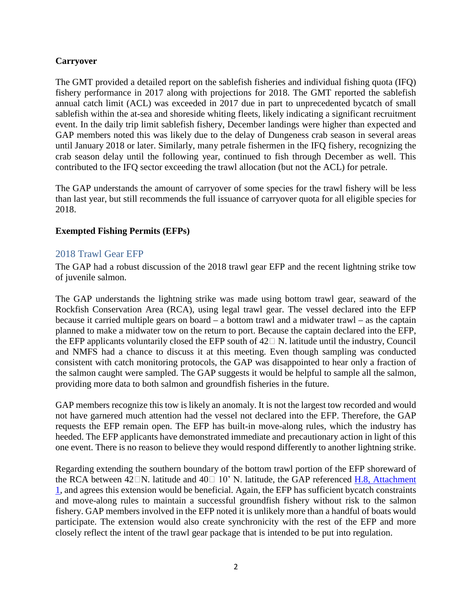## **Carryover**

The GMT provided a detailed report on the sablefish fisheries and individual fishing quota (IFQ) fishery performance in 2017 along with projections for 2018. The GMT reported the sablefish annual catch limit (ACL) was exceeded in 2017 due in part to unprecedented bycatch of small sablefish within the at-sea and shoreside whiting fleets, likely indicating a significant recruitment event. In the daily trip limit sablefish fishery, December landings were higher than expected and GAP members noted this was likely due to the delay of Dungeness crab season in several areas until January 2018 or later. Similarly, many petrale fishermen in the IFQ fishery, recognizing the crab season delay until the following year, continued to fish through December as well. This contributed to the IFQ sector exceeding the trawl allocation (but not the ACL) for petrale.

The GAP understands the amount of carryover of some species for the trawl fishery will be less than last year, but still recommends the full issuance of carryover quota for all eligible species for 2018.

## **Exempted Fishing Permits (EFPs)**

# 2018 Trawl Gear EFP

The GAP had a robust discussion of the 2018 trawl gear EFP and the recent lightning strike tow of juvenile salmon.

The GAP understands the lightning strike was made using bottom trawl gear, seaward of the Rockfish Conservation Area (RCA), using legal trawl gear. The vessel declared into the EFP because it carried multiple gears on board – a bottom trawl and a midwater trawl – as the captain planned to make a midwater tow on the return to port. Because the captain declared into the EFP, the EFP applicants voluntarily closed the EFP south of  $42\Box$  N. latitude until the industry, Council and NMFS had a chance to discuss it at this meeting. Even though sampling was conducted consistent with catch monitoring protocols, the GAP was disappointed to hear only a fraction of the salmon caught were sampled. The GAP suggests it would be helpful to sample all the salmon, providing more data to both salmon and groundfish fisheries in the future.

GAP members recognize this tow is likely an anomaly. It is not the largest tow recorded and would not have garnered much attention had the vessel not declared into the EFP. Therefore, the GAP requests the EFP remain open. The EFP has built-in move-along rules, which the industry has heeded. The EFP applicants have demonstrated immediate and precautionary action in light of this one event. There is no reason to believe they would respond differently to another lightning strike.

Regarding extending the southern boundary of the bottom trawl portion of the EFP shoreward of the RCA between  $42\Box N$ . latitude and  $40\Box 10$ <sup>o</sup> N. latitude, the GAP referenced H.8, Attachment [1,](https://www.pcouncil.org/wp-content/uploads/2018/02/H8_Att1_TrawlGear_EFP_Mar2018BB.pdf) and agrees this extension would be beneficial. Again, the EFP has sufficient bycatch constraints and move-along rules to maintain a successful groundfish fishery without risk to the salmon fishery. GAP members involved in the EFP noted it is unlikely more than a handful of boats would participate. The extension would also create synchronicity with the rest of the EFP and more closely reflect the intent of the trawl gear package that is intended to be put into regulation.